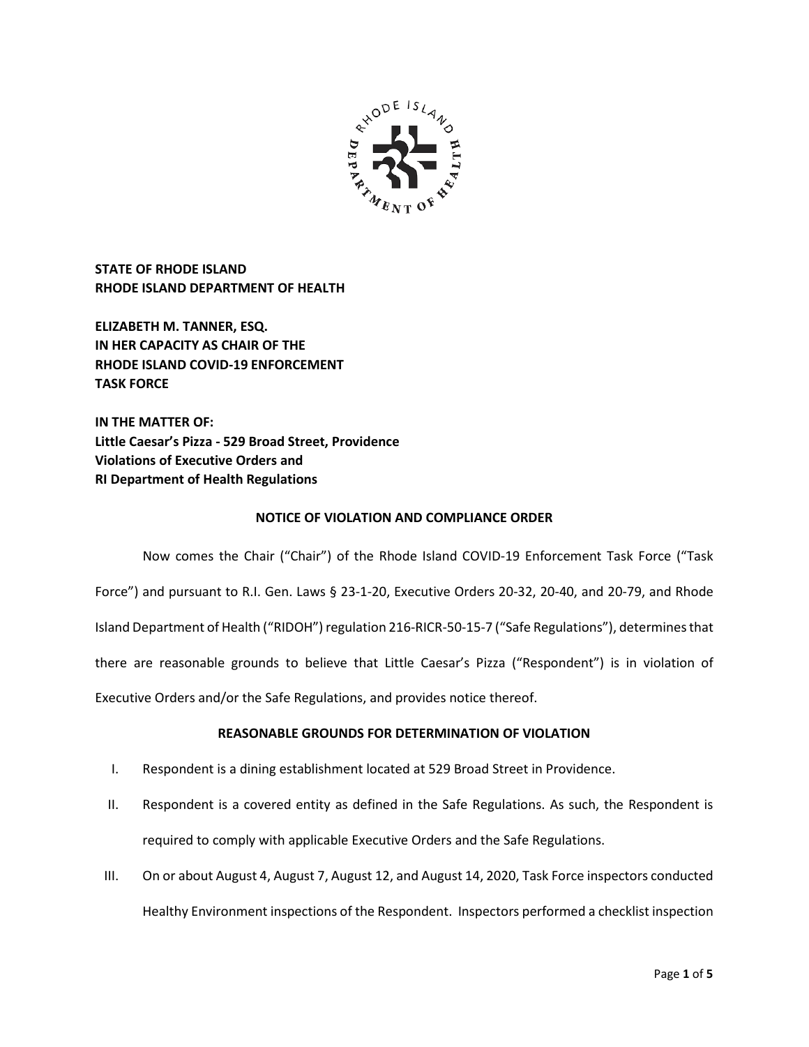

**STATE OF RHODE ISLAND RHODE ISLAND DEPARTMENT OF HEALTH**

**ELIZABETH M. TANNER, ESQ. IN HER CAPACITY AS CHAIR OF THE RHODE ISLAND COVID-19 ENFORCEMENT TASK FORCE** 

**IN THE MATTER OF: Little Caesar's Pizza - 529 Broad Street, Providence Violations of Executive Orders and RI Department of Health Regulations**

# **NOTICE OF VIOLATION AND COMPLIANCE ORDER**

Now comes the Chair ("Chair") of the Rhode Island COVID-19 Enforcement Task Force ("Task Force") and pursuant to R.I. Gen. Laws § 23-1-20, Executive Orders 20-32, 20-40, and 20-79, and Rhode Island Department of Health ("RIDOH") regulation 216-RICR-50-15-7 ("Safe Regulations"), determines that there are reasonable grounds to believe that Little Caesar's Pizza ("Respondent") is in violation of Executive Orders and/or the Safe Regulations, and provides notice thereof.

# **REASONABLE GROUNDS FOR DETERMINATION OF VIOLATION**

- I. Respondent is a dining establishment located at 529 Broad Street in Providence.
- II. Respondent is a covered entity as defined in the Safe Regulations. As such, the Respondent is required to comply with applicable Executive Orders and the Safe Regulations.
- III. On or about August 4, August 7, August 12, and August 14, 2020, Task Force inspectors conducted Healthy Environment inspections of the Respondent. Inspectors performed a checklist inspection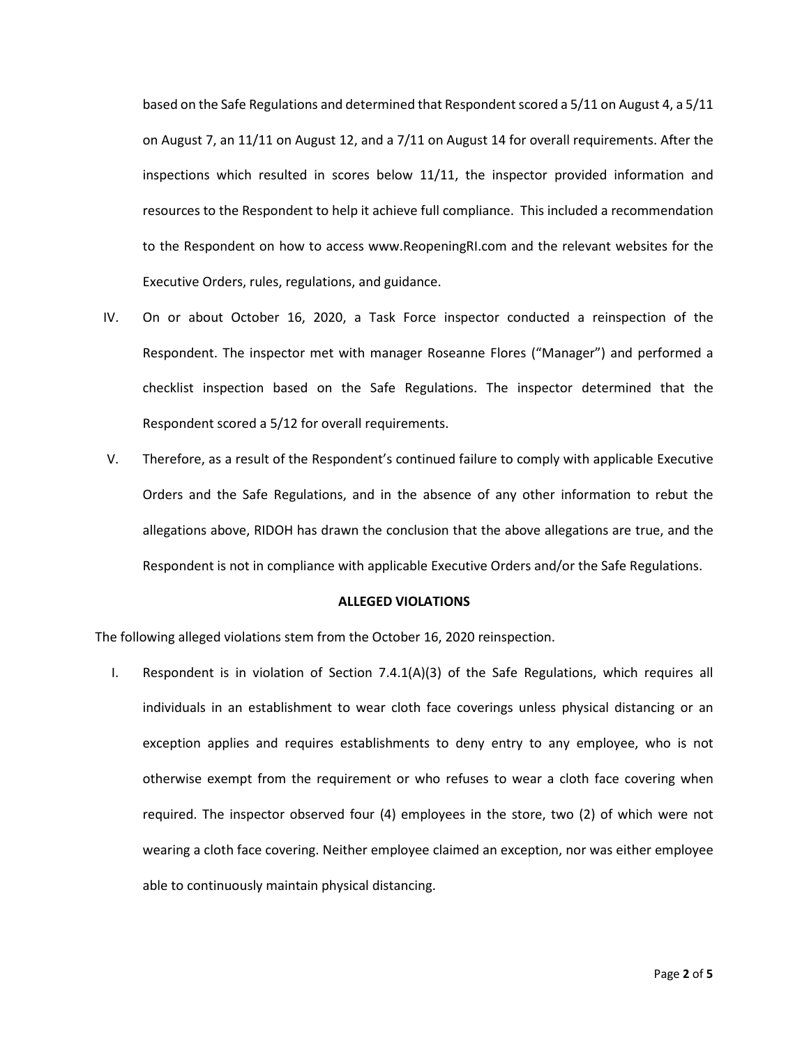based on the Safe Regulations and determined that Respondent scored a 5/11 on August 4, a 5/11 on August 7, an 11/11 on August 12, and a 7/11 on August 14 for overall requirements. After the inspections which resulted in scores below 11/11, the inspector provided information and resources to the Respondent to help it achieve full compliance. This included a recommendation to the Respondent on how to access www.ReopeningRI.com and the relevant websites for the Executive Orders, rules, regulations, and guidance.

- IV. On or about October 16, 2020, a Task Force inspector conducted a reinspection of the Respondent. The inspector met with manager Roseanne Flores ("Manager") and performed a checklist inspection based on the Safe Regulations. The inspector determined that the Respondent scored a 5/12 for overall requirements.
- V. Therefore, as a result of the Respondent's continued failure to comply with applicable Executive Orders and the Safe Regulations, and in the absence of any other information to rebut the allegations above, RIDOH has drawn the conclusion that the above allegations are true, and the Respondent is not in compliance with applicable Executive Orders and/or the Safe Regulations.

### **ALLEGED VIOLATIONS**

The following alleged violations stem from the October 16, 2020 reinspection.

I. Respondent is in violation of Section 7.4.1(A)(3) of the Safe Regulations, which requires all individuals in an establishment to wear cloth face coverings unless physical distancing or an exception applies and requires establishments to deny entry to any employee, who is not otherwise exempt from the requirement or who refuses to wear a cloth face covering when required. The inspector observed four (4) employees in the store, two (2) of which were not wearing a cloth face covering. Neither employee claimed an exception, nor was either employee able to continuously maintain physical distancing.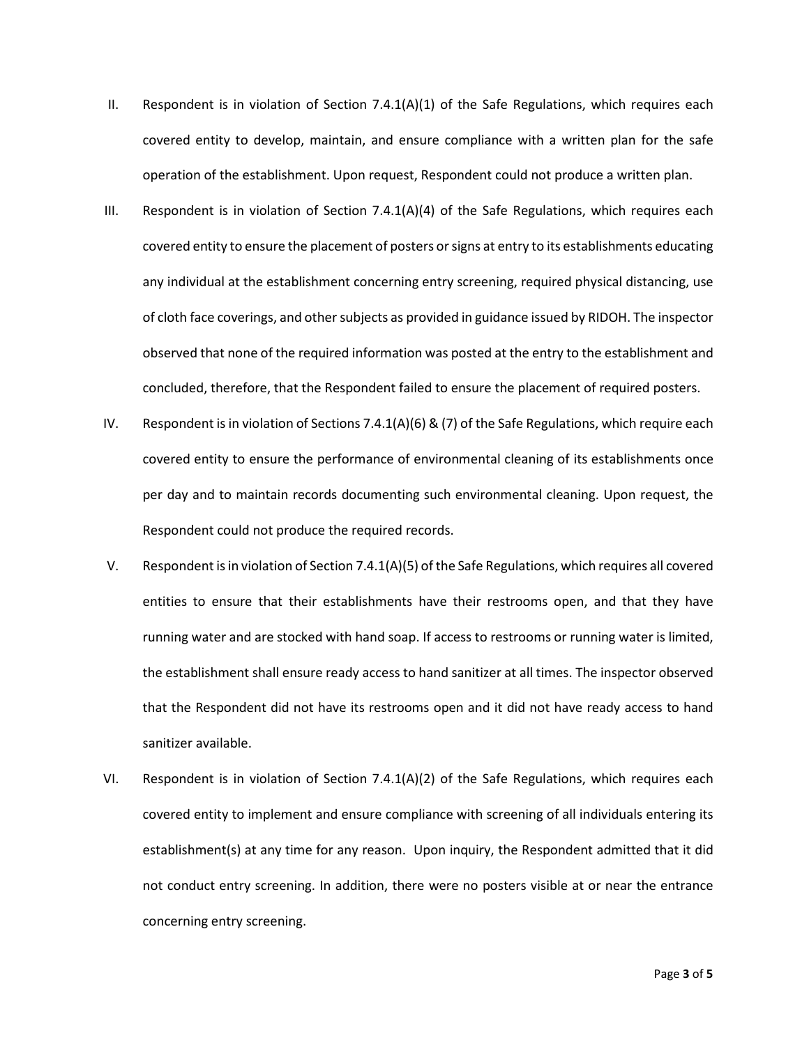- II. Respondent is in violation of Section  $7.4.1(A)(1)$  of the Safe Regulations, which requires each covered entity to develop, maintain, and ensure compliance with a written plan for the safe operation of the establishment. Upon request, Respondent could not produce a written plan.
- III. Respondent is in violation of Section 7.4.1(A)(4) of the Safe Regulations, which requires each covered entity to ensure the placement of posters or signs at entry to its establishments educating any individual at the establishment concerning entry screening, required physical distancing, use of cloth face coverings, and other subjects as provided in guidance issued by RIDOH. The inspector observed that none of the required information was posted at the entry to the establishment and concluded, therefore, that the Respondent failed to ensure the placement of required posters.
- IV. Respondent is in violation of Sections 7.4.1(A)(6) & (7) of the Safe Regulations, which require each covered entity to ensure the performance of environmental cleaning of its establishments once per day and to maintain records documenting such environmental cleaning. Upon request, the Respondent could not produce the required records.
- V. Respondent is in violation of Section 7.4.1(A)(5) of the Safe Regulations, which requires all covered entities to ensure that their establishments have their restrooms open, and that they have running water and are stocked with hand soap. If access to restrooms or running water is limited, the establishment shall ensure ready access to hand sanitizer at all times. The inspector observed that the Respondent did not have its restrooms open and it did not have ready access to hand sanitizer available.
- VI. Respondent is in violation of Section 7.4.1(A)(2) of the Safe Regulations, which requires each covered entity to implement and ensure compliance with screening of all individuals entering its establishment(s) at any time for any reason. Upon inquiry, the Respondent admitted that it did not conduct entry screening. In addition, there were no posters visible at or near the entrance concerning entry screening.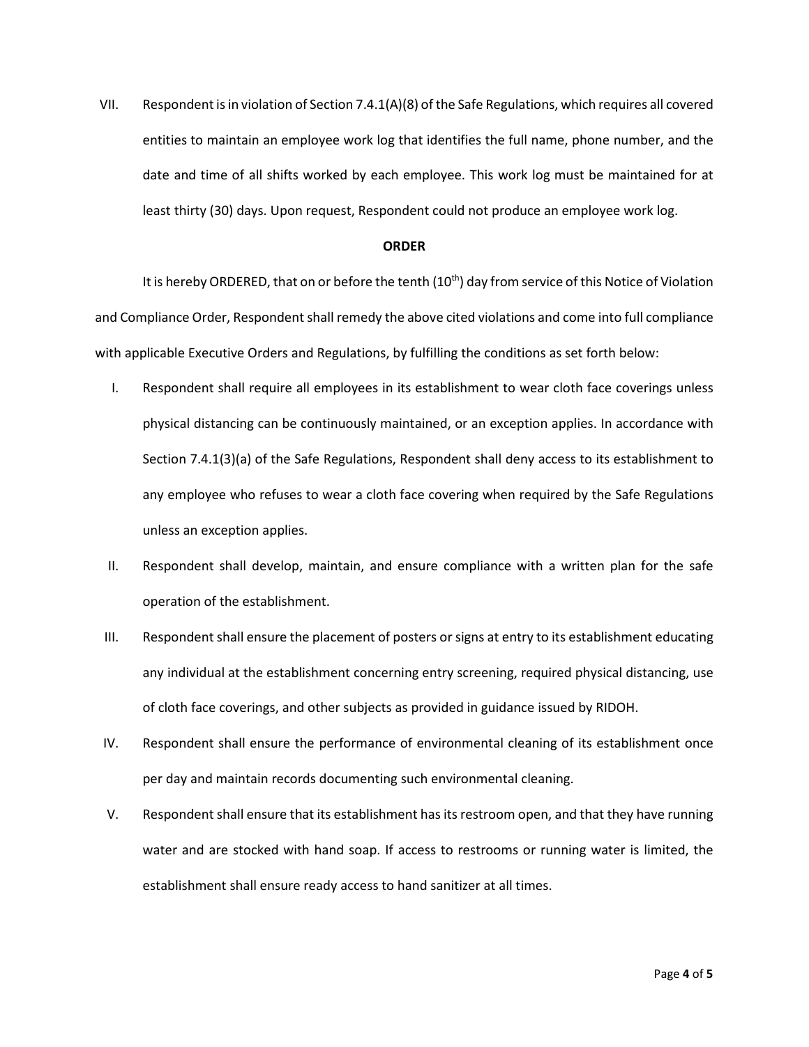VII. Respondent is in violation of Section 7.4.1(A)(8) of the Safe Regulations, which requires all covered entities to maintain an employee work log that identifies the full name, phone number, and the date and time of all shifts worked by each employee. This work log must be maintained for at least thirty (30) days. Upon request, Respondent could not produce an employee work log.

## **ORDER**

It is hereby ORDERED, that on or before the tenth  $(10<sup>th</sup>)$  day from service of this Notice of Violation and Compliance Order, Respondent shall remedy the above cited violations and come into full compliance with applicable Executive Orders and Regulations, by fulfilling the conditions as set forth below:

- I. Respondent shall require all employees in its establishment to wear cloth face coverings unless physical distancing can be continuously maintained, or an exception applies. In accordance with Section 7.4.1(3)(a) of the Safe Regulations, Respondent shall deny access to its establishment to any employee who refuses to wear a cloth face covering when required by the Safe Regulations unless an exception applies.
- II. Respondent shall develop, maintain, and ensure compliance with a written plan for the safe operation of the establishment.
- III. Respondent shall ensure the placement of posters or signs at entry to its establishment educating any individual at the establishment concerning entry screening, required physical distancing, use of cloth face coverings, and other subjects as provided in guidance issued by RIDOH.
- IV. Respondent shall ensure the performance of environmental cleaning of its establishment once per day and maintain records documenting such environmental cleaning.
- V. Respondent shall ensure that its establishment has itsrestroom open, and that they have running water and are stocked with hand soap. If access to restrooms or running water is limited, the establishment shall ensure ready access to hand sanitizer at all times.